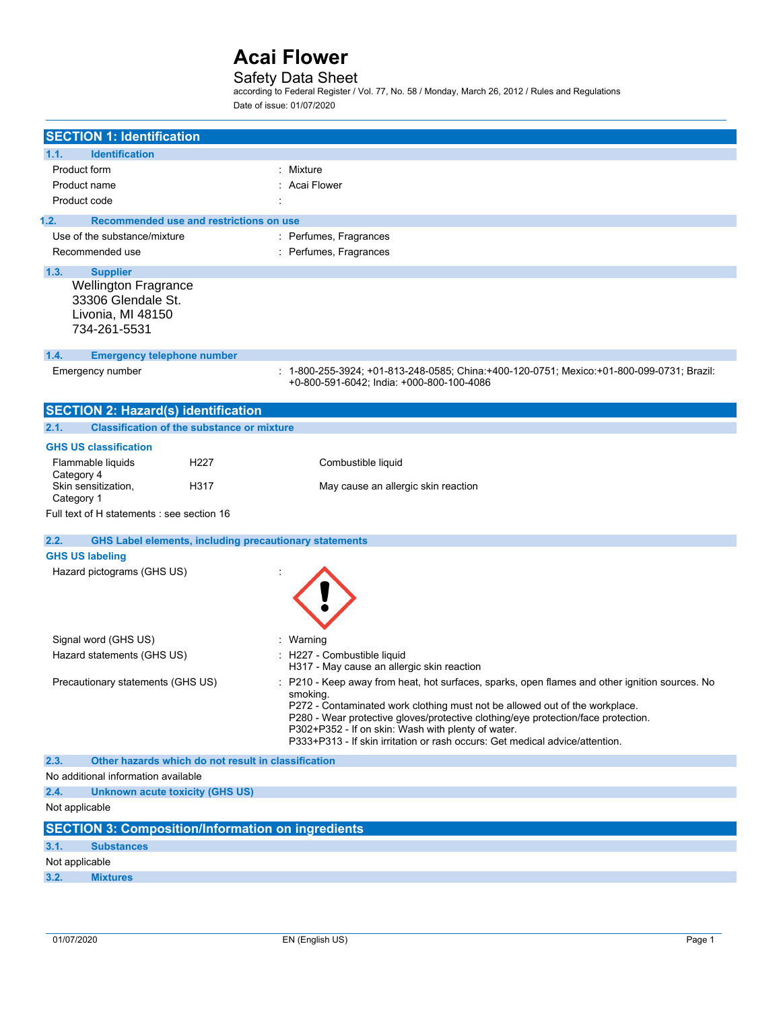### Safety Data Sheet

according to Federal Register / Vol. 77, No. 58 / Monday, March 26, 2012 / Rules and Regulations Date of issue: 01/07/2020

| <b>SECTION 1: Identification</b>                                                       |                                                                                                                                                                                                                                                                                                                                                                                                                    |  |
|----------------------------------------------------------------------------------------|--------------------------------------------------------------------------------------------------------------------------------------------------------------------------------------------------------------------------------------------------------------------------------------------------------------------------------------------------------------------------------------------------------------------|--|
| 1.1.<br><b>Identification</b>                                                          |                                                                                                                                                                                                                                                                                                                                                                                                                    |  |
| Product form                                                                           | Mixture                                                                                                                                                                                                                                                                                                                                                                                                            |  |
| Product name                                                                           | Acai Flower                                                                                                                                                                                                                                                                                                                                                                                                        |  |
| Product code                                                                           |                                                                                                                                                                                                                                                                                                                                                                                                                    |  |
| Recommended use and restrictions on use<br>1.2.                                        |                                                                                                                                                                                                                                                                                                                                                                                                                    |  |
| Use of the substance/mixture                                                           | : Perfumes, Fragrances                                                                                                                                                                                                                                                                                                                                                                                             |  |
| Recommended use                                                                        | : Perfumes, Fragrances                                                                                                                                                                                                                                                                                                                                                                                             |  |
| 1.3.<br><b>Supplier</b>                                                                |                                                                                                                                                                                                                                                                                                                                                                                                                    |  |
| <b>Wellington Fragrance</b><br>33306 Glendale St.<br>Livonia, MI 48150<br>734-261-5531 |                                                                                                                                                                                                                                                                                                                                                                                                                    |  |
| 1.4.<br><b>Emergency telephone number</b>                                              |                                                                                                                                                                                                                                                                                                                                                                                                                    |  |
| Emergency number                                                                       | : 1-800-255-3924; +01-813-248-0585; China:+400-120-0751; Mexico:+01-800-099-0731; Brazil:<br>+0-800-591-6042; India: +000-800-100-4086                                                                                                                                                                                                                                                                             |  |
| <b>SECTION 2: Hazard(s) identification</b>                                             |                                                                                                                                                                                                                                                                                                                                                                                                                    |  |
| 2.1.<br><b>Classification of the substance or mixture</b>                              |                                                                                                                                                                                                                                                                                                                                                                                                                    |  |
| <b>GHS US classification</b>                                                           |                                                                                                                                                                                                                                                                                                                                                                                                                    |  |
| Flammable liquids<br>H <sub>22</sub> 7<br>Category 4                                   | Combustible liquid                                                                                                                                                                                                                                                                                                                                                                                                 |  |
| Skin sensitization,<br>H317<br>Category 1                                              | May cause an allergic skin reaction                                                                                                                                                                                                                                                                                                                                                                                |  |
| Full text of H statements : see section 16                                             |                                                                                                                                                                                                                                                                                                                                                                                                                    |  |
| 2.2.<br><b>GHS Label elements, including precautionary statements</b>                  |                                                                                                                                                                                                                                                                                                                                                                                                                    |  |
| <b>GHS US labeling</b>                                                                 |                                                                                                                                                                                                                                                                                                                                                                                                                    |  |
| Hazard pictograms (GHS US)                                                             |                                                                                                                                                                                                                                                                                                                                                                                                                    |  |
| Signal word (GHS US)                                                                   | : Warning                                                                                                                                                                                                                                                                                                                                                                                                          |  |
| Hazard statements (GHS US)                                                             | : H227 - Combustible liquid<br>H317 - May cause an allergic skin reaction                                                                                                                                                                                                                                                                                                                                          |  |
| Precautionary statements (GHS US)                                                      | P210 - Keep away from heat, hot surfaces, sparks, open flames and other ignition sources. No<br>smoking.<br>P272 - Contaminated work clothing must not be allowed out of the workplace.<br>P280 - Wear protective gloves/protective clothing/eye protection/face protection.<br>P302+P352 - If on skin: Wash with plenty of water.<br>P333+P313 - If skin irritation or rash occurs: Get medical advice/attention. |  |
| Other hazards which do not result in classification<br>2.3.                            |                                                                                                                                                                                                                                                                                                                                                                                                                    |  |
| No additional information available                                                    |                                                                                                                                                                                                                                                                                                                                                                                                                    |  |
| 2.4.<br><b>Unknown acute toxicity (GHS US)</b>                                         |                                                                                                                                                                                                                                                                                                                                                                                                                    |  |
| Not applicable                                                                         |                                                                                                                                                                                                                                                                                                                                                                                                                    |  |
| <b>SECTION 3: Composition/Information on ingredients</b>                               |                                                                                                                                                                                                                                                                                                                                                                                                                    |  |
| 3.1.<br><b>Substances</b>                                                              |                                                                                                                                                                                                                                                                                                                                                                                                                    |  |
| Not applicable                                                                         |                                                                                                                                                                                                                                                                                                                                                                                                                    |  |
| 3.2.<br><b>Mixtures</b>                                                                |                                                                                                                                                                                                                                                                                                                                                                                                                    |  |
|                                                                                        |                                                                                                                                                                                                                                                                                                                                                                                                                    |  |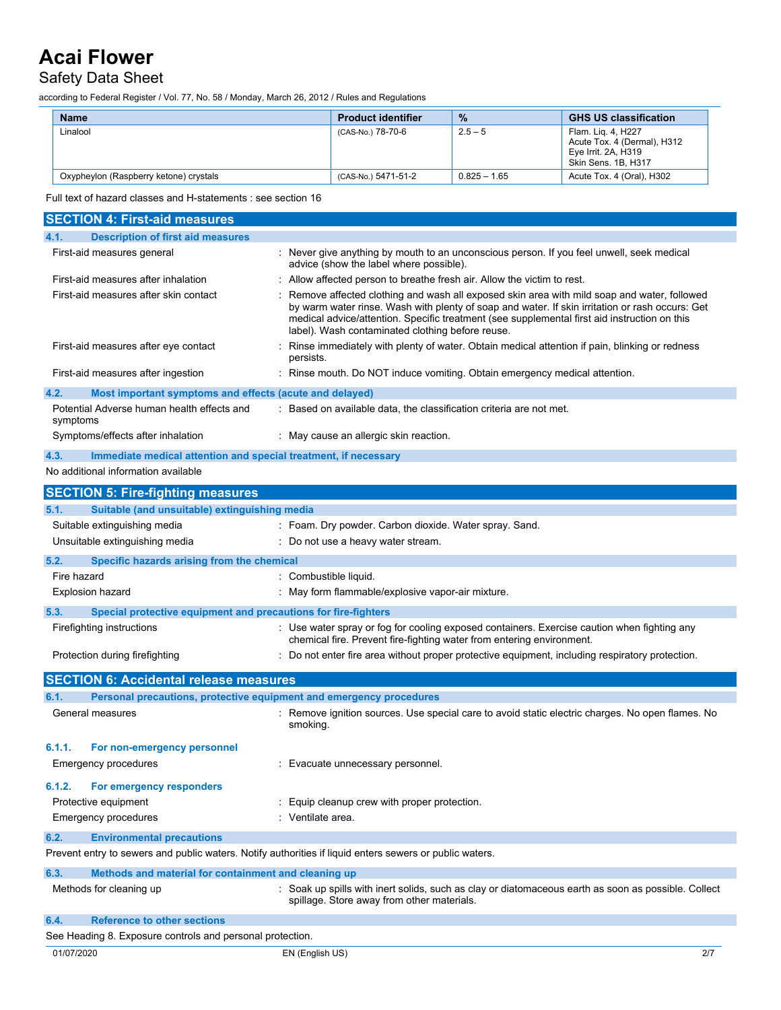### Safety Data Sheet

according to Federal Register / Vol. 77, No. 58 / Monday, March 26, 2012 / Rules and Regulations

| <b>Name</b>                            | <b>Product identifier</b> | $\frac{9}{6}$  | <b>GHS US classification</b>                                                                    |
|----------------------------------------|---------------------------|----------------|-------------------------------------------------------------------------------------------------|
| Linalool                               | (CAS-No.) 78-70-6         | $2.5 - 5$      | Flam. Lig. 4, H227<br>Acute Tox. 4 (Dermal), H312<br>Eye Irrit. 2A, H319<br>Skin Sens, 1B, H317 |
| Oxypheylon (Raspberry ketone) crystals | (CAS-No.) 5471-51-2       | $0.825 - 1.65$ | Acute Tox. 4 (Oral), H302                                                                       |

Full text of hazard classes and H-statements : see section 16

| <b>SECTION 4: First-aid measures</b>                                    |                                                                                                                                                                                                                                                                                                                                                   |
|-------------------------------------------------------------------------|---------------------------------------------------------------------------------------------------------------------------------------------------------------------------------------------------------------------------------------------------------------------------------------------------------------------------------------------------|
| <b>Description of first aid measures</b><br>4.1.                        |                                                                                                                                                                                                                                                                                                                                                   |
| First-aid measures general                                              | : Never give anything by mouth to an unconscious person. If you feel unwell, seek medical<br>advice (show the label where possible).                                                                                                                                                                                                              |
| First-aid measures after inhalation                                     | Allow affected person to breathe fresh air. Allow the victim to rest.                                                                                                                                                                                                                                                                             |
| First-aid measures after skin contact                                   | Remove affected clothing and wash all exposed skin area with mild soap and water, followed<br>by warm water rinse. Wash with plenty of soap and water. If skin irritation or rash occurs: Get<br>medical advice/attention. Specific treatment (see supplemental first aid instruction on this<br>label). Wash contaminated clothing before reuse. |
| First-aid measures after eye contact                                    | Rinse immediately with plenty of water. Obtain medical attention if pain, blinking or redness<br>persists.                                                                                                                                                                                                                                        |
| First-aid measures after ingestion                                      | : Rinse mouth. Do NOT induce vomiting. Obtain emergency medical attention.                                                                                                                                                                                                                                                                        |
| 4.2.<br>Most important symptoms and effects (acute and delayed)         |                                                                                                                                                                                                                                                                                                                                                   |
| Potential Adverse human health effects and<br>symptoms                  | Based on available data, the classification criteria are not met.                                                                                                                                                                                                                                                                                 |
| Symptoms/effects after inhalation                                       | : May cause an allergic skin reaction.                                                                                                                                                                                                                                                                                                            |
| 4.3.<br>Immediate medical attention and special treatment, if necessary |                                                                                                                                                                                                                                                                                                                                                   |
| No additional information available                                     |                                                                                                                                                                                                                                                                                                                                                   |
| <b>SECTION 5: Fire-fighting measures</b>                                |                                                                                                                                                                                                                                                                                                                                                   |
| Suitable (and unsuitable) extinguishing media<br>5.1.                   |                                                                                                                                                                                                                                                                                                                                                   |
| Suitable extinguishing media                                            | : Foam. Dry powder. Carbon dioxide. Water spray. Sand.                                                                                                                                                                                                                                                                                            |
| Unsuitable extinguishing media                                          | : Do not use a heavy water stream.                                                                                                                                                                                                                                                                                                                |
| 5.2.<br>Specific hazards arising from the chemical                      |                                                                                                                                                                                                                                                                                                                                                   |
| Fire hazard                                                             | Combustible liquid.                                                                                                                                                                                                                                                                                                                               |
| <b>Explosion hazard</b>                                                 | : May form flammable/explosive vapor-air mixture.                                                                                                                                                                                                                                                                                                 |
| Special protective equipment and precautions for fire-fighters<br>5.3.  |                                                                                                                                                                                                                                                                                                                                                   |
| Firefighting instructions                                               | : Use water spray or fog for cooling exposed containers. Exercise caution when fighting any<br>chemical fire. Prevent fire-fighting water from entering environment.                                                                                                                                                                              |
| Protection during firefighting                                          | Do not enter fire area without proper protective equipment, including respiratory protection.                                                                                                                                                                                                                                                     |
| <b>SECTION 6: Accidental release measures</b>                           |                                                                                                                                                                                                                                                                                                                                                   |
| 6.1.                                                                    | Personal precautions, protective equipment and emergency procedures                                                                                                                                                                                                                                                                               |
| General measures                                                        | : Remove ignition sources. Use special care to avoid static electric charges. No open flames. No<br>smoking.                                                                                                                                                                                                                                      |
| 6.1.1.<br>For non-emergency personnel                                   |                                                                                                                                                                                                                                                                                                                                                   |
| <b>Emergency procedures</b>                                             | Evacuate unnecessary personnel.                                                                                                                                                                                                                                                                                                                   |
| 6.1.2.<br>For emergency responders                                      |                                                                                                                                                                                                                                                                                                                                                   |
| Protective equipment                                                    | Equip cleanup crew with proper protection.                                                                                                                                                                                                                                                                                                        |
| <b>Emergency procedures</b>                                             | Ventilate area.                                                                                                                                                                                                                                                                                                                                   |
| <b>Environmental precautions</b><br>6.2.                                |                                                                                                                                                                                                                                                                                                                                                   |
|                                                                         | Prevent entry to sewers and public waters. Notify authorities if liquid enters sewers or public waters.                                                                                                                                                                                                                                           |
| 6.3.<br>Methods and material for containment and cleaning up            |                                                                                                                                                                                                                                                                                                                                                   |
| Methods for cleaning up                                                 | : Soak up spills with inert solids, such as clay or diatomaceous earth as soon as possible. Collect<br>spillage. Store away from other materials.                                                                                                                                                                                                 |
| <b>Reference to other sections</b><br>6.4.                              |                                                                                                                                                                                                                                                                                                                                                   |
| See Heading 8. Exposure controls and personal protection.               |                                                                                                                                                                                                                                                                                                                                                   |
| 01/07/2020                                                              | 2/7<br>EN (English US)                                                                                                                                                                                                                                                                                                                            |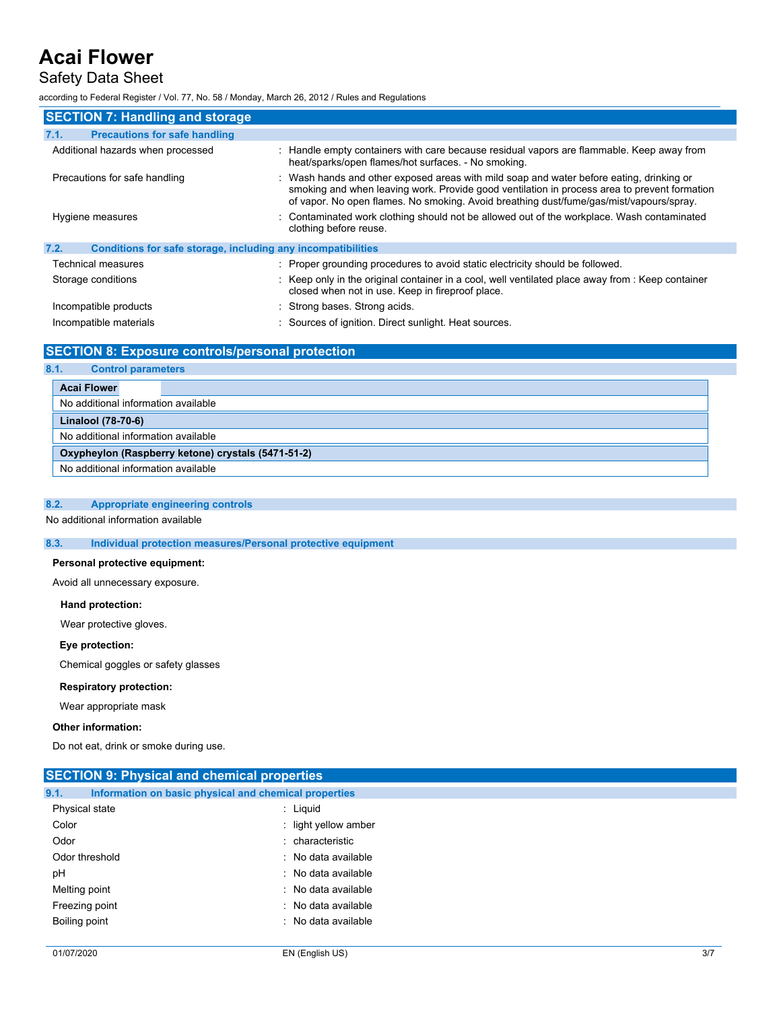### Safety Data Sheet

according to Federal Register / Vol. 77, No. 58 / Monday, March 26, 2012 / Rules and Regulations

| <b>SECTION 7: Handling and storage</b>                               |                                                                                                                                                                                                                                                                                     |  |
|----------------------------------------------------------------------|-------------------------------------------------------------------------------------------------------------------------------------------------------------------------------------------------------------------------------------------------------------------------------------|--|
| 7.1.<br><b>Precautions for safe handling</b>                         |                                                                                                                                                                                                                                                                                     |  |
| Additional hazards when processed                                    | : Handle empty containers with care because residual vapors are flammable. Keep away from<br>heat/sparks/open flames/hot surfaces. - No smoking.                                                                                                                                    |  |
| Precautions for safe handling                                        | : Wash hands and other exposed areas with mild soap and water before eating, drinking or<br>smoking and when leaving work. Provide good ventilation in process area to prevent formation<br>of vapor. No open flames. No smoking. Avoid breathing dust/fume/gas/mist/vapours/spray. |  |
| Hygiene measures                                                     | : Contaminated work clothing should not be allowed out of the workplace. Wash contaminated<br>clothing before reuse.                                                                                                                                                                |  |
| Conditions for safe storage, including any incompatibilities<br>7.2. |                                                                                                                                                                                                                                                                                     |  |
| Technical measures                                                   | : Proper grounding procedures to avoid static electricity should be followed.                                                                                                                                                                                                       |  |
| Storage conditions                                                   | : Keep only in the original container in a cool, well ventilated place away from : Keep container<br>closed when not in use. Keep in fireproof place.                                                                                                                               |  |
| Incompatible products                                                | : Strong bases. Strong acids.                                                                                                                                                                                                                                                       |  |
| Incompatible materials                                               | : Sources of ignition. Direct sunlight. Heat sources.                                                                                                                                                                                                                               |  |

### **SECTION 8: Exposure controls/personal protection**

| 8.1.<br><b>Control parameters</b>                  |                    |  |                                     |  |
|----------------------------------------------------|--------------------|--|-------------------------------------|--|
|                                                    | <b>Acai Flower</b> |  |                                     |  |
|                                                    |                    |  | No additional information available |  |
|                                                    | Linalool (78-70-6) |  |                                     |  |
| No additional information available                |                    |  |                                     |  |
| Oxypheylon (Raspberry ketone) crystals (5471-51-2) |                    |  |                                     |  |
| No additional information available                |                    |  |                                     |  |

### **8.2. Appropriate engineering controls**

No additional information available

### **8.3. Individual protection measures/Personal protective equipment**

#### **Personal protective equipment:**

Avoid all unnecessary exposure.

### **Hand protection:**

Wear protective gloves.

### **Eye protection:**

Chemical goggles or safety glasses

#### **Respiratory protection:**

Wear appropriate mask

#### **Other information:**

Do not eat, drink or smoke during use.

| <b>SECTION 9: Physical and chemical properties</b> |                                                       |     |
|----------------------------------------------------|-------------------------------------------------------|-----|
| 9.1.                                               | Information on basic physical and chemical properties |     |
| Physical state                                     | : Liquid                                              |     |
| Color                                              | : light yellow amber                                  |     |
| Odor                                               | : characteristic                                      |     |
| Odor threshold                                     | : No data available                                   |     |
| pH                                                 | : No data available                                   |     |
| Melting point                                      | : No data available                                   |     |
| Freezing point                                     | : No data available                                   |     |
| Boiling point                                      | : No data available                                   |     |
| 01/07/2020                                         | EN (English US)                                       | 3/7 |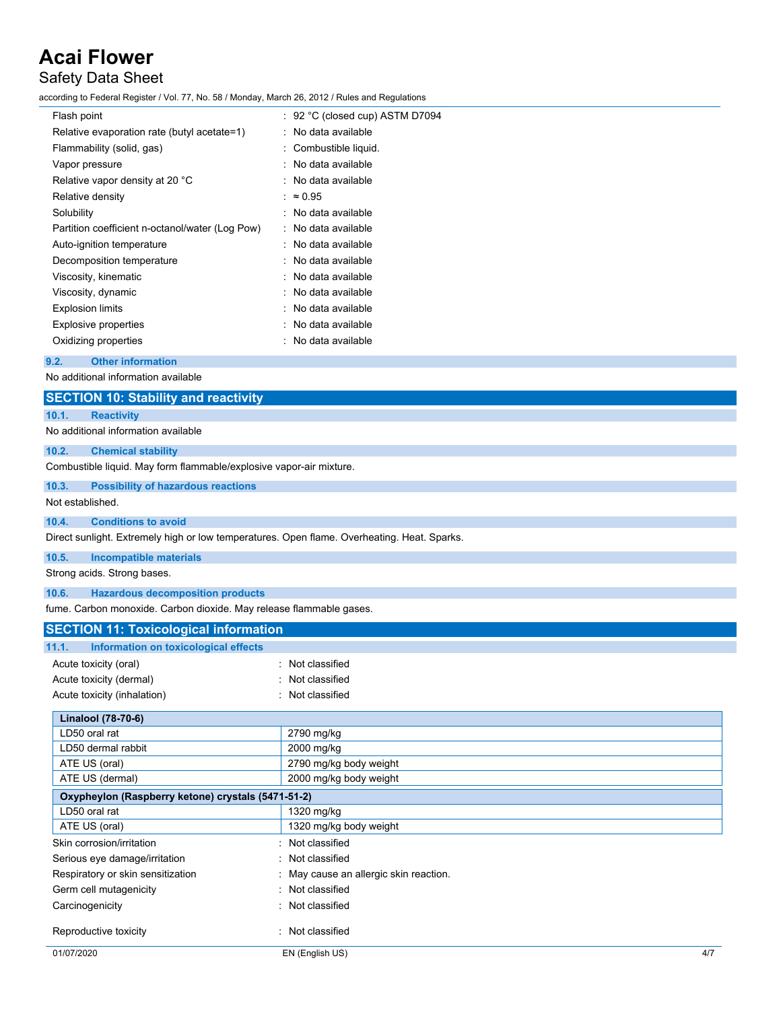### Safety Data Sheet

according to Federal Register / Vol. 77, No. 58 / Monday, March 26, 2012 / Rules and Regulations

| Flash point                                     | $\div$ 92 °C (closed cup) ASTM D7094 |
|-------------------------------------------------|--------------------------------------|
| Relative evaporation rate (butyl acetate=1)     | $\therefore$ No data available       |
| Flammability (solid, gas)                       | : Combustible liquid.                |
| Vapor pressure                                  | : No data available                  |
| Relative vapor density at 20 °C                 | : No data available                  |
| Relative density                                | $\approx 0.95$                       |
| Solubility                                      | : No data available                  |
| Partition coefficient n-octanol/water (Log Pow) | : No data available                  |
| Auto-ignition temperature                       | : No data available                  |
| Decomposition temperature                       | : No data available                  |
| Viscosity, kinematic                            | : No data available                  |
| Viscosity, dynamic                              | : No data available                  |
| <b>Explosion limits</b>                         | : No data available                  |
| <b>Explosive properties</b>                     | : No data available                  |
| Oxidizing properties                            | : No data available                  |

### **9.2. Other information**

No additional information available

### **SECTION 10: Stability and reactivity**

**10.1. Reactivity**

### No additional information available

**10.2. Chemical stability**

Combustible liquid. May form flammable/explosive vapor-air mixture.

### **10.3. Possibility of hazardous reactions**

Not established.

### **10.4. Conditions to avoid**

Direct sunlight. Extremely high or low temperatures. Open flame. Overheating. Heat. Sparks.

#### **10.5. Incompatible materials**

Strong acids. Strong bases.

#### **10.6. Hazardous decomposition products**

fume. Carbon monoxide. Carbon dioxide. May release flammable gases.

| <b>SECTION 11: Toxicological information</b>       |                                      |     |
|----------------------------------------------------|--------------------------------------|-----|
| Information on toxicological effects<br>11.1.      |                                      |     |
| Acute toxicity (oral)                              | Not classified                       |     |
| Acute toxicity (dermal)                            | Not classified                       |     |
| Acute toxicity (inhalation)                        | Not classified                       |     |
|                                                    |                                      |     |
| Linalool (78-70-6)                                 |                                      |     |
| LD50 oral rat                                      | 2790 mg/kg                           |     |
| LD50 dermal rabbit                                 | 2000 mg/kg                           |     |
| ATE US (oral)                                      | 2790 mg/kg body weight               |     |
| ATE US (dermal)                                    | 2000 mg/kg body weight               |     |
| Oxypheylon (Raspberry ketone) crystals (5471-51-2) |                                      |     |
| LD50 oral rat                                      | 1320 mg/kg                           |     |
| ATE US (oral)                                      | 1320 mg/kg body weight               |     |
| Skin corrosion/irritation                          | Not classified                       |     |
| Serious eye damage/irritation                      | Not classified                       |     |
| Respiratory or skin sensitization                  | May cause an allergic skin reaction. |     |
| Germ cell mutagenicity                             | : Not classified                     |     |
| Carcinogenicity                                    | Not classified                       |     |
| Reproductive toxicity                              | Not classified                       |     |
| 01/07/2020                                         | EN (English US)                      | 4/7 |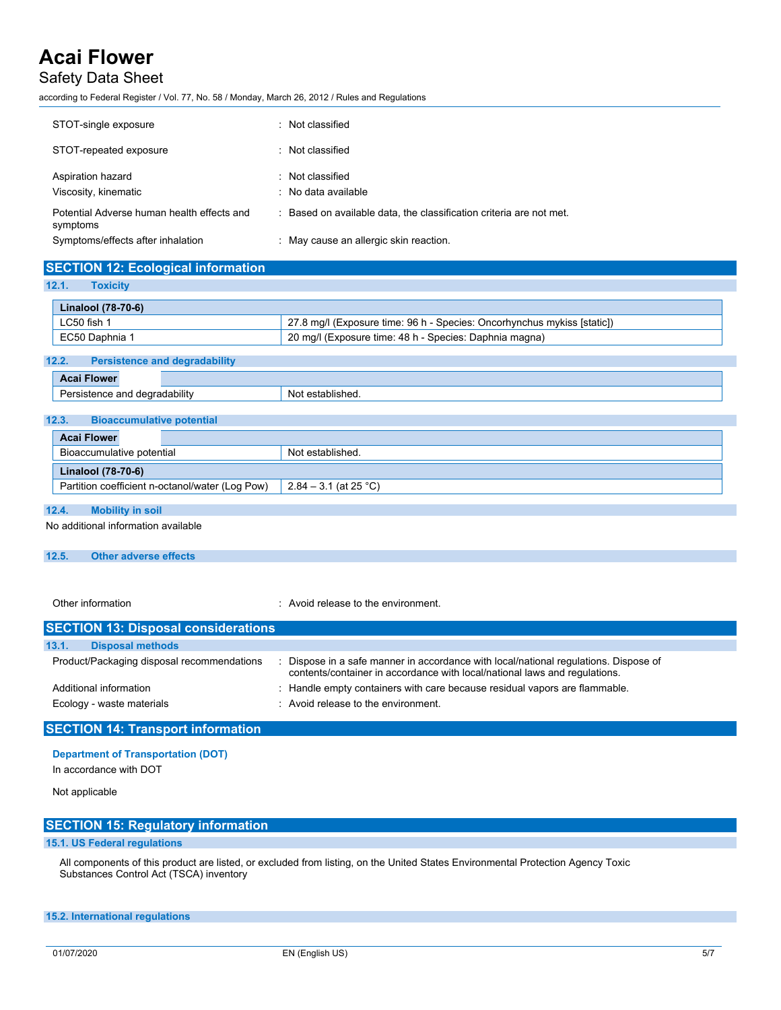### Safety Data Sheet

according to Federal Register / Vol. 77, No. 58 / Monday, March 26, 2012 / Rules and Regulations

| STOT-single exposure                                   | : Not classified                                                    |
|--------------------------------------------------------|---------------------------------------------------------------------|
| STOT-repeated exposure                                 | : Not classified                                                    |
| Aspiration hazard<br>Viscosity, kinematic              | : Not classified<br>: No data available                             |
| Potential Adverse human health effects and<br>symptoms | : Based on available data, the classification criteria are not met. |
| Symptoms/effects after inhalation                      | May cause an allergic skin reaction.                                |

### **SECTION 12: Ecological information**

**12.1. Toxicity**

| Linalool (78-70-6) |                                                                         |
|--------------------|-------------------------------------------------------------------------|
| LC50 fish 1        | 27.8 mg/l (Exposure time: 96 h - Species: Oncorhynchus mykiss [static]) |
| EC50 Daphnia 1     | 20 mg/l (Exposure time: 48 h - Species: Daphnia magna)                  |

### **12.2. Persistence and degradability**

|                           | <b>Acai Flower</b>                        |                  |
|---------------------------|-------------------------------------------|------------------|
|                           | Persistence and degradability             | Not established. |
|                           |                                           |                  |
|                           | 12.3.<br><b>Bioaccumulative potential</b> |                  |
|                           | <b>Acai Flower</b>                        |                  |
| Bioaccumulative potential |                                           | Not established. |

|                                                       | .                       |
|-------------------------------------------------------|-------------------------|
| Linalool (78-70-6)                                    |                         |
| --<br>Partition coefficient n-octanol/water (Log Pow) | $2.84 - 3.1$ (at 25 °C) |
|                                                       |                         |

### **12.4. Mobility in soil**

No additional information available

### **12.5. Other adverse effects**

Other information **COLOGY CONGERGY COLOGY:** Avoid release to the environment.

### **SECTION 13: Disposal considerations 13.1. Disposal methods** Product/Packaging disposal recommendations : Dispose in a safe manner in accordance with local/national regulations. Dispose of contents/container in accordance with local/national laws and regulations. Additional information **income in the containers** with care because residual vapors are flammable. Ecology - waste materials **Ecology** - waste materials **interval** : Avoid release to the environment.

### **SECTION 14: Transport information**

#### **Department of Transportation (DOT)**

In accordance with DOT

#### Not applicable

| <b>SECTION 15: Regulatory information</b> |  |
|-------------------------------------------|--|
| 15.1. US Federal regulations              |  |

All components of this product are listed, or excluded from listing, on the United States Environmental Protection Agency Toxic Substances Control Act (TSCA) inventory

#### **15.2. International regulations**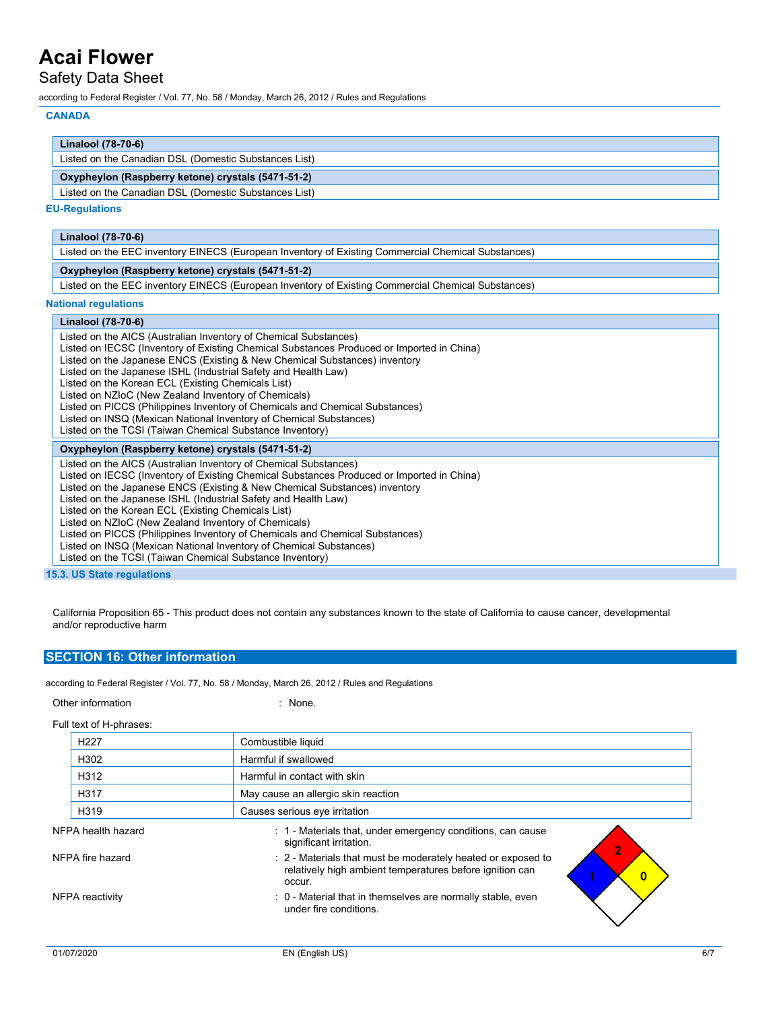### Safety Data Sheet

according to Federal Register / Vol. 77, No. 58 / Monday, March 26, 2012 / Rules and Regulations

#### **CANADA**

| Linalool (78-70-6)                                    |  |
|-------------------------------------------------------|--|
| Listed on the Canadian DSL (Domestic Substances List) |  |
| Oxypheylon (Raspberry ketone) crystals (5471-51-2)    |  |
| Listed on the Canadian DSL (Domestic Substances List) |  |

#### **EU-Regulations**

| Linalool (78-70-6)                                                                                 |  |
|----------------------------------------------------------------------------------------------------|--|
| Listed on the EEC inventory EINECS (European Inventory of Existing Commercial Chemical Substances) |  |
| Oxypheylon (Raspberry ketone) crystals (5471-51-2)                                                 |  |
| Listed on the EEC inventory EINECS (European Inventory of Existing Commercial Chemical Substances) |  |

#### **National regulations**

### **Linalool (78-70-6)**

Listed on the AICS (Australian Inventory of Chemical Substances)

- Listed on IECSC (Inventory of Existing Chemical Substances Produced or Imported in China)
- Listed on the Japanese ENCS (Existing & New Chemical Substances) inventory
- Listed on the Japanese ISHL (Industrial Safety and Health Law)
- Listed on the Korean ECL (Existing Chemicals List)
- Listed on NZIoC (New Zealand Inventory of Chemicals)
- Listed on PICCS (Philippines Inventory of Chemicals and Chemical Substances)
- Listed on INSQ (Mexican National Inventory of Chemical Substances)
- Listed on the TCSI (Taiwan Chemical Substance Inventory)

### **Oxypheylon (Raspberry ketone) crystals (5471-51-2)**

Listed on the AICS (Australian Inventory of Chemical Substances)

- Listed on IECSC (Inventory of Existing Chemical Substances Produced or Imported in China)
- Listed on the Japanese ENCS (Existing & New Chemical Substances) inventory
- Listed on the Japanese ISHL (Industrial Safety and Health Law)
- Listed on the Korean ECL (Existing Chemicals List)
- Listed on NZIoC (New Zealand Inventory of Chemicals)
- Listed on PICCS (Philippines Inventory of Chemicals and Chemical Substances)
- Listed on INSQ (Mexican National Inventory of Chemical Substances)
- Listed on the TCSI (Taiwan Chemical Substance Inventory)

**15.3. US State regulations**

California Proposition 65 - This product does not contain any substances known to the state of California to cause cancer, developmental and/or reproductive harm

### **SECTION 16: Other information**

according to Federal Register / Vol. 77, No. 58 / Monday, March 26, 2012 / Rules and Regulations

Other information in the contract of the contract of the contract of the contract of the contract of the contract of the contract of the contract of the contract of the contract of the contract of the contract of the contr

Full text of H-phrases:

| H <sub>227</sub>   | Combustible liquid                                                                                                                 |
|--------------------|------------------------------------------------------------------------------------------------------------------------------------|
| H302               | Harmful if swallowed                                                                                                               |
| H312               | Harmful in contact with skin                                                                                                       |
| H317               | May cause an allergic skin reaction                                                                                                |
| H319               | Causes serious eye irritation                                                                                                      |
| NFPA health hazard | : 1 - Materials that, under emergency conditions, can cause<br>significant irritation.                                             |
| NFPA fire hazard   | : 2 - Materials that must be moderately heated or exposed to<br>relatively high ambient temperatures before ignition can<br>occur. |
| NFPA reactivity    | : 0 - Material that in themselves are normally stable, even<br>under fire conditions.                                              |
|                    |                                                                                                                                    |